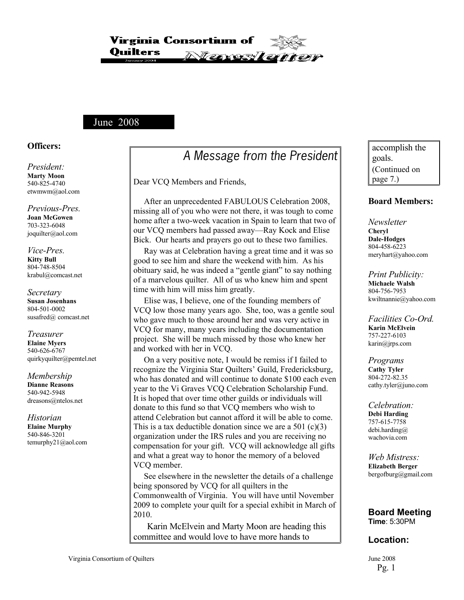Virginia Consortium of Onilters *Terveder* 

### June 2008

#### **Officers:**

*President:* **Marty Moon** 540-825-4740 etwmwm@aol.com

*Previous-Pres.* **Joan McGowen** 703-323-6048 joquilter@aol.com

#### *Vice-Pres.* **Kitty Bull** 804-748-8504 krabul@comcast.net

#### *Secretary* **Susan Josenhans** 804-501-0002 susafred@ comcast.net

*Treasurer* **Elaine Myers** 540-626-6767 quirkyquilter@pemtel.net

*Membership* **Dianne Reasons** 540-942-5948 dreasons@ntelos.net

*Historian* **Elaine Murphy** 540-846-3201 temurphy21@aol.com

# A Message from the President

Dear VCQ Members and Friends,

 After an unprecedented FABULOUS Celebration 2008, missing all of you who were not there, it was tough to come home after a two-week vacation in Spain to learn that two of our VCQ members had passed away—Ray Kock and Elise Bick. Our hearts and prayers go out to these two families.

 Ray was at Celebration having a great time and it was so good to see him and share the weekend with him. As his obituary said, he was indeed a "gentle giant" to say nothing of a marvelous quilter. All of us who knew him and spent time with him will miss him greatly.

 Elise was, I believe, one of the founding members of VCQ low those many years ago. She, too, was a gentle soul who gave much to those around her and was very active in VCQ for many, many years including the documentation project. She will be much missed by those who knew her and worked with her in VCQ.

 On a very positive note, I would be remiss if I failed to recognize the Virginia Star Quilters' Guild, Fredericksburg, who has donated and will continue to donate \$100 each even year to the Vi Graves VCQ Celebration Scholarship Fund. It is hoped that over time other guilds or individuals will donate to this fund so that VCQ members who wish to attend Celebration but cannot afford it will be able to come. This is a tax deductible donation since we are a  $501$  (c)(3) organization under the IRS rules and you are receiving no compensation for your gift. VCQ will acknowledge all gifts and what a great way to honor the memory of a beloved VCQ member.

 See elsewhere in the newsletter the details of a challenge being sponsored by VCQ for all quilters in the Commonwealth of Virginia. You will have until November 2009 to complete your quilt for a special exhibit in March of 2010.

Karin McElvein and Marty Moon are heading this committee and would love to have more hands to

accomplish the goals. (Continued on page 7.)

#### **Board Members:**

*Newsletter* **Cheryl Dale-Hodges** 804-458-6223 meryhart@yahoo.com

*Print Publicity:* **Michaele Walsh** 804-756-7953 kwiltnannie@yahoo.com

*Facilities Co-Ord.* **[Karin](mailto:mjheck@attbi.com) McElvein** 757-227-6103 karin@jrps.com

*Programs* **Cathy Tyler** 804-272-82.35 cathy.tyler@juno.com

*Celebration:* **Debi Harding**  757-615-7758 debi.harding@ wachovia.com

*Web Mistress:* **Elizabeth Berger** bergofburg@gmail.com

**Board Meeting Time**: 5:30PM

### **Location:**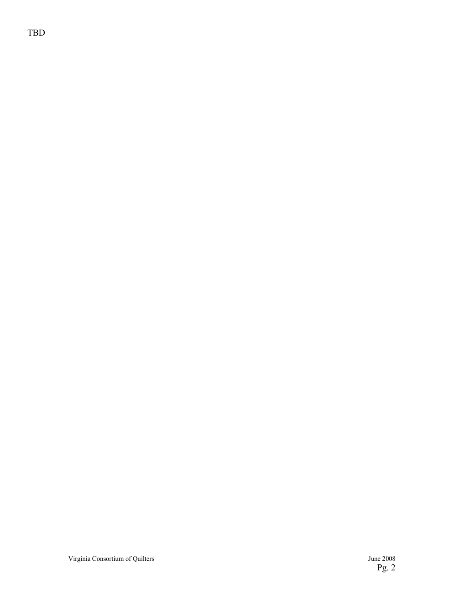TBD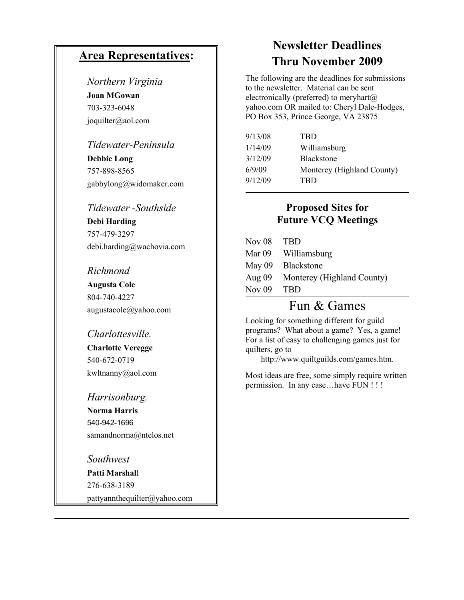# **Area Representatives:**

### *Northern Virginia*

**Joan MGowan** 703-323-6048 joquilter@aol.com

### *Tidewater-Peninsula*

**Debbie Long** 757-898-8565 gabbylong@widomaker.com

### *Tidewater -Southside*

**Debi Harding** 757-479-3297 debi.harding@wachovia.com

*Richmond* **Augusta Cole** 804-740-4227

augustacole@yahoo.com

### *Charlottesville.*

**Charlotte Veregge** 540-672-0719 kwltnanny@aol.com

*Harrisonburg.* **Norma Harris** 540-942-1696 samandnorma@ntelos.net

*Southwest* **Patti Marshal**l 276-638-3189 pattyannthequilter@yahoo.com

# **Newsletter Deadlines Thru November 2009**

The following are the deadlines for submissions to the newsletter. Material can be sent electronically (preferred) to meryhart $(a)$ yahoo.com OR mailed to: Cheryl Dale-Hodges, PO Box 353, Prince George, VA 23875

| 9/13/08<br><b>TRD</b>                |  |
|--------------------------------------|--|
| 1/14/09<br>Williamsburg              |  |
| 3/12/09<br><b>Blackstone</b>         |  |
| 6/9/09<br>Monterey (Highland County) |  |
| 9/12/09<br>TBD                       |  |

# **Proposed Sites for Future VCQ Meetings**

| - TBD                             |
|-----------------------------------|
| Mar 09 Williamsburg               |
| May 09 Blackstone                 |
| Aug 09 Monterey (Highland County) |
| - TBD                             |
|                                   |

# Fun & Games

Looking for something different for guild programs? What about a game? Yes, a game! For a list of easy to challenging games just for quilters, go to

http://www.quiltguilds.com/games.htm.

Most ideas are free, some simply require written permission. In any case…have FUN ! ! !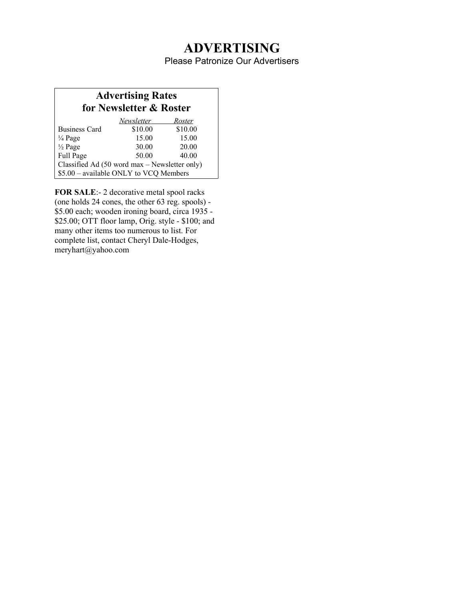# **ADVERTISING**

Please Patronize Our Advertisers

# **Advertising Rates for Newsletter & Roster**

|                                               | Newsletter | Roster  |
|-----------------------------------------------|------------|---------|
| <b>Business Card</b>                          | \$10.00    | \$10.00 |
| $\frac{1}{4}$ Page                            | 15.00      | 15.00   |
| $\frac{1}{2}$ Page                            | 30.00      | 20.00   |
| Full Page                                     | 50.00      | 40.00   |
| Classified Ad (50 word max – Newsletter only) |            |         |
| \$5.00 - available ONLY to VCQ Members        |            |         |

**FOR SALE**:-2 decorative metal spool racks (one holds 24 cones, the other 63 reg. spools) - \$5.00 each; wooden ironing board, circa 1935 - \$25.00; OTT floor lamp, Orig. style - \$100; and many other items too numerous to list. For complete list, contact Cheryl Dale-Hodges, meryhart@yahoo.com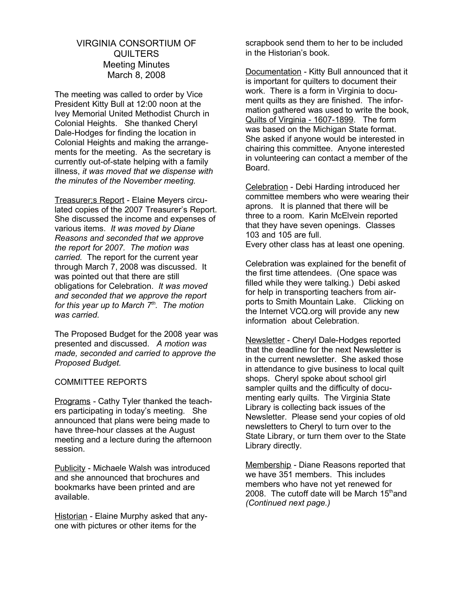### VIRGINIA CONSORTIUM OF **QUILTERS** Meeting Minutes March 8, 2008

The meeting was called to order by Vice President Kitty Bull at 12:00 noon at the Ivey Memorial United Methodist Church in Colonial Heights. She thanked Cheryl Dale-Hodges for finding the location in Colonial Heights and making the arrangements for the meeting. As the secretary is currently out-of-state helping with a family illness, *it was moved that we dispense with the minutes of the November meeting.* 

Treasurer;s Report - Elaine Meyers circulated copies of the 2007 Treasurer's Report. She discussed the income and expenses of various items. *It was moved by Diane Reasons and seconded that we approve the report for 2007. The motion was carried.* The report for the current year through March 7, 2008 was discussed. It was pointed out that there are still obligations for Celebration. *It was moved and seconded that we approve the report for this year up to March 7th. The motion was carried.*

The Proposed Budget for the 2008 year was presented and discussed. *A motion was made, seconded and carried to approve the Proposed Budget.*

#### COMMITTEE REPORTS

Programs - Cathy Tyler thanked the teachers participating in today's meeting. She announced that plans were being made to have three-hour classes at the August meeting and a lecture during the afternoon session.

Publicity - Michaele Walsh was introduced and she announced that brochures and bookmarks have been printed and are available.

Historian - Elaine Murphy asked that anyone with pictures or other items for the

scrapbook send them to her to be included in the Historian's book.

Documentation - Kitty Bull announced that it is important for quilters to document their work. There is a form in Virginia to document quilts as they are finished. The information gathered was used to write the book. Quilts of Virginia - 1607-1899. The form was based on the Michigan State format. She asked if anyone would be interested in chairing this committee. Anyone interested in volunteering can contact a member of the Board.

Celebration - Debi Harding introduced her committee members who were wearing their aprons. It is planned that there will be three to a room. Karin McElvein reported that they have seven openings. Classes 103 and 105 are full. Every other class has at least one opening.

Celebration was explained for the benefit of the first time attendees. (One space was filled while they were talking.) Debi asked for help in transporting teachers from airports to Smith Mountain Lake. Clicking on the Internet VCQ.org will provide any new information about Celebration.

Newsletter - Cheryl Dale-Hodges reported that the deadline for the next Newsletter is in the current newsletter. She asked those in attendance to give business to local quilt shops. Cheryl spoke about school girl sampler quilts and the difficulty of documenting early quilts. The Virginia State Library is collecting back issues of the Newsletter. Please send your copies of old newsletters to Cheryl to turn over to the State Library, or turn them over to the State Library directly.

Membership - Diane Reasons reported that we have 351 members. This includes members who have not yet renewed for 2008. The cutoff date will be March  $15<sup>th</sup>$  and *(Continued next page.)*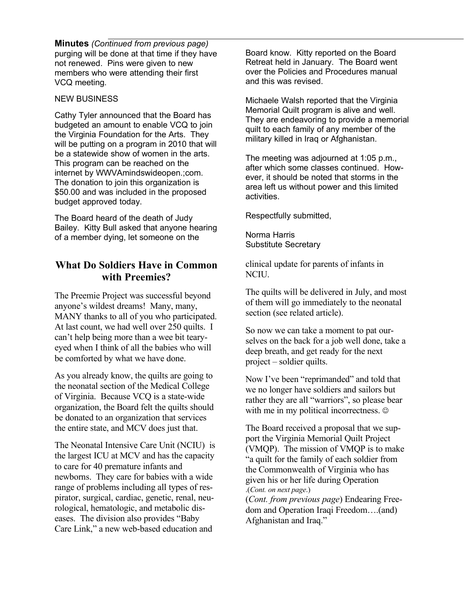**Minutes** *(Continued from previous page)*  purging will be done at that time if they have not renewed. Pins were given to new members who were attending their first VCQ meeting.

#### NEW BUSINESS

Cathy Tyler announced that the Board has budgeted an amount to enable VCQ to join the Virginia Foundation for the Arts. They will be putting on a program in 2010 that will be a statewide show of women in the arts. This program can be reached on the internet by WWVAmindswideopen.;com. The donation to join this organization is \$50.00 and was included in the proposed budget approved today.

The Board heard of the death of Judy Bailey. Kitty Bull asked that anyone hearing of a member dying, let someone on the

# **What Do Soldiers Have in Common with Preemies?**

The Preemie Project was successful beyond anyone's wildest dreams! Many, many, MANY thanks to all of you who participated. At last count, we had well over 250 quilts. I can't help being more than a wee bit tearyeyed when I think of all the babies who will be comforted by what we have done.

As you already know, the quilts are going to the neonatal section of the Medical College of Virginia. Because VCQ is a state-wide organization, the Board felt the quilts should be donated to an organization that services the entire state, and MCV does just that.

The Neonatal Intensive Care Unit (NCIU) is the largest ICU at MCV and has the capacity to care for 40 premature infants and newborns. They care for babies with a wide range of problems including all types of respirator, surgical, cardiac, genetic, renal, neurological, hematologic, and metabolic diseases. The division also provides "Baby Care Link," a new web-based education and

Board know. Kitty reported on the Board Retreat held in January. The Board went over the Policies and Procedures manual and this was revised.

Michaele Walsh reported that the Virginia Memorial Quilt program is alive and well. They are endeavoring to provide a memorial quilt to each family of any member of the military killed in Iraq or Afghanistan.

The meeting was adjourned at 1:05 p.m., after which some classes continued. However, it should be noted that storms in the area left us without power and this limited activities.

Respectfully submitted,

Norma Harris Substitute Secretary

clinical update for parents of infants in NCIU.

The quilts will be delivered in July, and most of them will go immediately to the neonatal section (see related article).

So now we can take a moment to pat ourselves on the back for a job well done, take a deep breath, and get ready for the next project – soldier quilts.

Now I've been "reprimanded" and told that we no longer have soldiers and sailors but rather they are all "warriors", so please bear with me in my political incorrectness.  $\odot$ 

The Board received a proposal that we support the Virginia Memorial Quilt Project (VMQP). The mission of VMQP is to make "a quilt for the family of each soldier from the Commonwealth of Virginia who has given his or her life during Operation .(*Cont. on next page*.)

(*Cont. from previous page*) Endearing Freedom and Operation Iraqi Freedom….(and) Afghanistan and Iraq."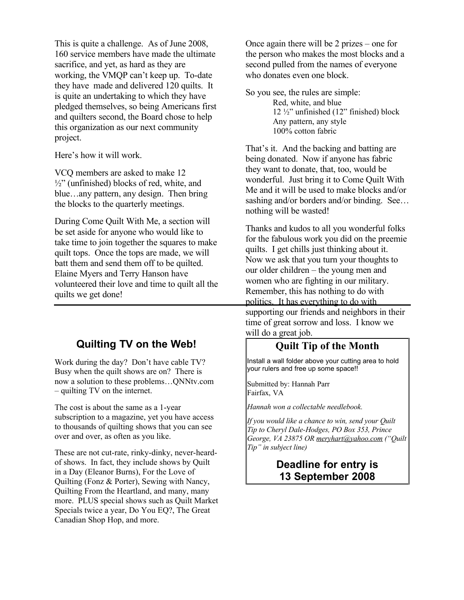This is quite a challenge. As of June 2008, 160 service members have made the ultimate sacrifice, and yet, as hard as they are working, the VMQP can't keep up. To-date they have made and delivered 120 quilts. It is quite an undertaking to which they have pledged themselves, so being Americans first and quilters second, the Board chose to help this organization as our next community project.

Here's how it will work.

VCQ members are asked to make 12  $\frac{1}{2}$ " (unfinished) blocks of red, white, and blue…any pattern, any design. Then bring the blocks to the quarterly meetings.

During Come Quilt With Me, a section will be set aside for anyone who would like to take time to join together the squares to make quilt tops. Once the tops are made, we will batt them and send them off to be quilted. Elaine Myers and Terry Hanson have volunteered their love and time to quilt all the quilts we get done!

# **Quilting TV on the Web!**

Work during the day? Don't have cable TV? Busy when the quilt shows are on? There is now a solution to these problems…QNNtv.com – quilting TV on the internet.

The cost is about the same as a 1-year subscription to a magazine, yet you have access to thousands of quilting shows that you can see over and over, as often as you like.

These are not cut-rate, rinky-dinky, never-heardof shows. In fact, they include shows by Quilt in a Day (Eleanor Burns), For the Love of Quilting (Fonz & Porter), Sewing with Nancy, Quilting From the Heartland, and many, many more. PLUS special shows such as Quilt Market Specials twice a year, Do You EQ?, The Great Canadian Shop Hop, and more.

Once again there will be 2 prizes – one for the person who makes the most blocks and a second pulled from the names of everyone who donates even one block.

So you see, the rules are simple: Red, white, and blue 12 ½" unfinished (12" finished) block Any pattern, any style

100% cotton fabric

That's it. And the backing and batting are being donated. Now if anyone has fabric they want to donate, that, too, would be wonderful. Just bring it to Come Quilt With Me and it will be used to make blocks and/or sashing and/or borders and/or binding. See... nothing will be wasted!

Thanks and kudos to all you wonderful folks for the fabulous work you did on the preemie quilts. I get chills just thinking about it. Now we ask that you turn your thoughts to our older children – the young men and women who are fighting in our military. Remember, this has nothing to do with politics. It has everything to do with supporting our friends and neighbors in their time of great sorrow and loss. I know we will do a great job.

# **Quilt Tip of the Month**

Install a wall folder above your cutting area to hold your rulers and free up some space!!

Submitted by: Hannah Parr Fairfax, VA

*Hannah won a collectable needlebook.*

*If you would like a chance to win, send your Quilt Tip to Cheryl Dale-Hodges, PO Box 353, Prince George, VA 23875 OR [meryhart@yahoo.com](mailto:meryhart@yahoo.com) ("Quilt Tip" in subject line)*

# **Deadline for entry is 13 September 2008**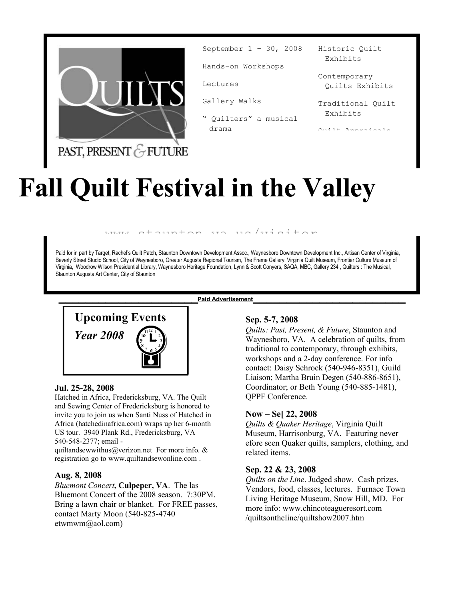

September 1 – 30, 2008

Hands-on Workshops

Lectures

Gallery Walks

" Quilters" a musical drama

Historic Quilt Exhibits

Contemporary Quilts Exhibits

Traditional Quilt Exhibits

 $Q$ uilt $\mathbf{A}$  Approved Apple

# PAST, PRESENT & FUTURE

# **Fall Quilt Festival in the Valley**

 $a + \alpha$ 

Paid for in part by Target, Rachel's Quilt Patch, Staunton Downtown Development Assoc., Waynesboro Downtown Development Inc., Artisan Center of Virginia, Beverly Street Studio School, City of Waynesboro, Greater Augusta Regional Tourism, The Frame Gallery, Virginia Quilt Museum, Frontier Culture Museum of Virginia, Woodrow Wilson Presidential Library, Waynesboro Heritage Foundation, Lynn & Scott Conyers, SAQA, MBC, Gallery 234 , Quilters : The Musical, Staunton Augusta Art Center, City of Staunton

**\_\_\_\_\_\_\_\_\_\_\_\_\_\_\_\_\_\_\_\_\_Paid Advertisement\_\_\_\_\_\_\_\_\_\_\_\_\_\_\_\_\_\_\_\_\_\_\_**



#### **Jul. 25-28, 2008**

Hatched in Africa, Fredericksburg, VA. The Quilt and Sewing Center of Fredericksburg is honored to invite you to join us when Santi Nuss of Hatched in Africa (hatchedinafrica.com) wraps up her 6-month US tour. 3940 Plank Rd., Fredericksburg, VA 540-548-2377; email -

quiltandsewwithus@verizon.net For more info. & registration go to www.quiltandsewonline.com .

#### **Aug. 8, 2008**

*Bluemont Concert***, Culpeper, VA**. The las Bluemont Concert of the 2008 season. 7:30PM. Bring a lawn chair or blanket. For FREE passes, contact Marty Moon (540-825-4740 etwmwm@aol.com)

### **Sep. 5-7, 2008**

*Quilts: Past, Present, & Future*, Staunton and Waynesboro, VA. A celebration of quilts, from traditional to contemporary, through exhibits, workshops and a 2-day conference. For info contact: Daisy Schrock (540-946-8351), Guild Liaison; Martha Bruin Degen (540-886-8651), Coordinator; or Beth Young (540-885-1481), QPPF Conference.

#### **Now – Se[ 22, 2008**

*Quilts & Quaker Heritage*, Virginia Quilt Museum, Harrisonburg, VA. Featuring never efore seen Quaker quilts, samplers, clothing, and related items.

#### **Sep. 22 & 23, 2008**

*Quilts on the Line*. Judged show. Cash prizes. Vendors, food, classes, lectures. Furnace Town Living Heritage Museum, Snow Hill, MD. For more info: www.chincoteagueresort.com /quiltsontheline/quiltshow2007.htm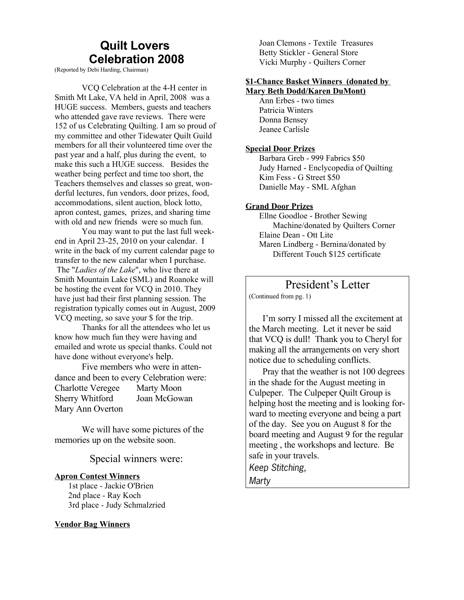# **Quilt Lovers Celebration 2008**

(Reported by Debi Harding, Chairman)

VCQ Celebration at the 4-H center in Smith Mt Lake, VA held in April, 2008 was a HUGE success. Members, guests and teachers who attended gave rave reviews. There were 152 of us Celebrating Quilting. I am so proud of my committee and other Tidewater Quilt Guild members for all their volunteered time over the past year and a half, plus during the event, to make this such a HUGE success. Besides the weather being perfect and time too short, the Teachers themselves and classes so great, wonderful lectures, fun vendors, door prizes, food, accommodations, silent auction, block lotto, apron contest, games, prizes, and sharing time with old and new friends were so much fun.

You may want to put the last full weekend in April 23-25, 2010 on your calendar. I write in the back of my current calendar page to transfer to the new calendar when I purchase. The "*Ladies of the Lake*", who live there at Smith Mountain Lake (SML) and Roanoke will be hosting the event for VCQ in 2010. They have just had their first planning session. The registration typically comes out in August, 2009 VCQ meeting, so save your \$ for the trip.

Thanks for all the attendees who let us know how much fun they were having and emailed and wrote us special thanks. Could not have done without everyone's help.

Five members who were in attendance and been to every Celebration were: Charlotte Veregee Marty Moon Sherry Whitford Joan McGowan Mary Ann Overton

We will have some pictures of the memories up on the website soon.

#### Special winners were:

#### **Apron Contest Winners**

1st place - Jackie O'Brien 2nd place - Ray Koch 3rd place - Judy Schmalzried

#### **Vendor Bag Winners**

Joan Clemons - Textile Treasures Betty Stickler - General Store Vicki Murphy - Quilters Corner

#### **\$1-Chance Basket Winners (donated by Mary Beth Dodd/Karen DuMont)**

Ann Erbes - two times Patricia Winters Donna Bensey Jeanee Carlisle

#### **Special Door Prizes**

Barbara Greb - 999 Fabrics \$50 Judy Harned - Enclycopedia of Quilting Kim Fess - G Street \$50 Danielle May - SML Afghan

#### **Grand Door Prizes**

Ellne Goodloe - Brother Sewing Machine/donated by Quilters Corner Elaine Dean - Ott Lite Maren Lindberg - Bernina/donated by Different Touch \$125 certificate

# President's Letter

(Continued from pg. 1)

I'm sorry I missed all the excitement at the March meeting. Let it never be said that VCQ is dull! Thank you to Cheryl for making all the arrangements on very short notice due to scheduling conflicts.

Pray that the weather is not 100 degrees in the shade for the August meeting in Culpeper. The Culpeper Quilt Group is helping host the meeting and is looking forward to meeting everyone and being a part of the day. See you on August 8 for the board meeting and August 9 for the regular meeting , the workshops and lecture. Be safe in your travels. Keep Stitching,

Marty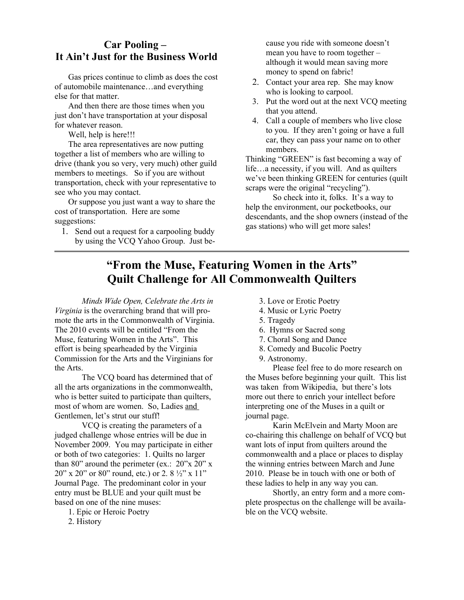# **Car Pooling – It Ain't Just for the Business World**

Gas prices continue to climb as does the cost of automobile maintenance…and everything else for that matter.

And then there are those times when you just don't have transportation at your disposal for whatever reason.

Well, help is here!!!

The area representatives are now putting together a list of members who are willing to drive (thank you so very, very much) other guild members to meetings. So if you are without transportation, check with your representative to see who you may contact.

Or suppose you just want a way to share the cost of transportation. Here are some suggestions:

1. Send out a request for a carpooling buddy by using the VCQ Yahoo Group. Just because you ride with someone doesn't mean you have to room together – although it would mean saving more money to spend on fabric!

- 2. Contact your area rep. She may know who is looking to carpool.
- 3. Put the word out at the next VCQ meeting that you attend.
- 4. Call a couple of members who live close to you. If they aren't going or have a full car, they can pass your name on to other members.

Thinking "GREEN" is fast becoming a way of life…a necessity, if you will. And as quilters we've been thinking GREEN for centuries (quilt scraps were the original "recycling").

So check into it, folks. It's a way to help the environment, our pocketbooks, our descendants, and the shop owners (instead of the gas stations) who will get more sales!

# **"From the Muse, Featuring Women in the Arts" Quilt Challenge for All Commonwealth Quilters**

*Minds Wide Open, Celebrate the Arts in Virginia* is the overarching brand that will promote the arts in the Commonwealth of Virginia. The 2010 events will be entitled "From the Muse, featuring Women in the Arts". This effort is being spearheaded by the Virginia Commission for the Arts and the Virginians for the Arts.

The VCQ board has determined that of all the arts organizations in the commonwealth, who is better suited to participate than quilters, most of whom are women. So, Ladies and Gentlemen, let's strut our stuff!

VCQ is creating the parameters of a judged challenge whose entries will be due in November 2009. You may participate in either or both of two categories: 1. Quilts no larger than 80" around the perimeter (ex.:  $20^{\prime\prime}$ x  $20^{\prime\prime}$  x 20" x 20" or 80" round, etc.) or 2. 8 ½" x 11" Journal Page. The predominant color in your entry must be BLUE and your quilt must be based on one of the nine muses:

- 1. Epic or Heroic Poetry
- 2. History
- 3. Love or Erotic Poetry
- 4. Music or Lyric Poetry
- 5. Tragedy
- 6. Hymns or Sacred song
- 7. Choral Song and Dance
- 8. Comedy and Bucolic Poetry
- 9. Astronomy.

Please feel free to do more research on the Muses before beginning your quilt. This list was taken from Wikipedia, but there's lots more out there to enrich your intellect before interpreting one of the Muses in a quilt or journal page.

Karin McElvein and Marty Moon are co-chairing this challenge on behalf of VCQ but want lots of input from quilters around the commonwealth and a place or places to display the winning entries between March and June 2010. Please be in touch with one or both of these ladies to help in any way you can.

Shortly, an entry form and a more complete prospectus on the challenge will be available on the VCQ website.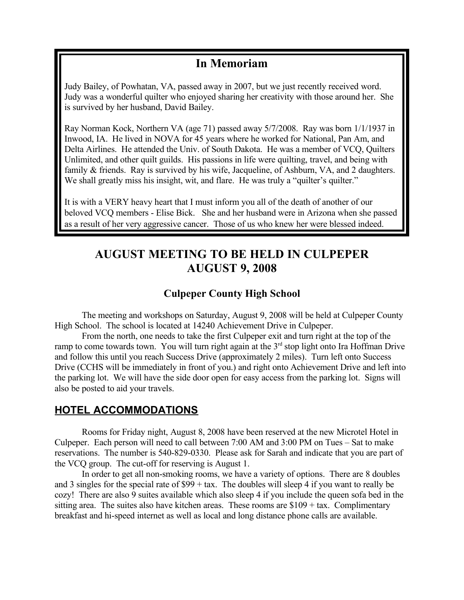# **In Memoriam**

Judy Bailey, of Powhatan, VA, passed away in 2007, but we just recently received word. Judy was a wonderful quilter who enjoyed sharing her creativity with those around her. She is survived by her husband, David Bailey.

Ray Norman Kock, Northern VA (age 71) passed away 5/7/2008. Ray was born 1/1/1937 in Inwood, IA. He lived in NOVA for 45 years where he worked for National, Pan Am, and Delta Airlines. He attended the Univ. of South Dakota. He was a member of VCQ, Quilters Unlimited, and other quilt guilds. His passions in life were quilting, travel, and being with family & friends. Ray is survived by his wife, Jacqueline, of Ashburn, VA, and 2 daughters. We shall greatly miss his insight, wit, and flare. He was truly a "quilter's quilter."

It is with a VERY heavy heart that I must inform you all of the death of another of our beloved VCQ members - Elise Bick. She and her husband were in Arizona when she passed as a result of her very aggressive cancer. Those of us who knew her were blessed indeed.

# **AUGUST MEETING TO BE HELD IN CULPEPER AUGUST 9, 2008**

# **Culpeper County High School**

The meeting and workshops on Saturday, August 9, 2008 will be held at Culpeper County High School. The school is located at 14240 Achievement Drive in Culpeper.

From the north, one needs to take the first Culpeper exit and turn right at the top of the ramp to come towards town. You will turn right again at the  $3<sup>rd</sup>$  stop light onto Ira Hoffman Drive and follow this until you reach Success Drive (approximately 2 miles). Turn left onto Success Drive (CCHS will be immediately in front of you.) and right onto Achievement Drive and left into the parking lot. We will have the side door open for easy access from the parking lot. Signs will also be posted to aid your travels.

# **HOTEL ACCOMMODATIONS**

Rooms for Friday night, August 8, 2008 have been reserved at the new Microtel Hotel in Culpeper. Each person will need to call between 7:00 AM and 3:00 PM on Tues – Sat to make reservations. The number is 540-829-0330. Please ask for Sarah and indicate that you are part of the VCQ group. The cut-off for reserving is August 1.

In order to get all non-smoking rooms, we have a variety of options. There are 8 doubles and 3 singles for the special rate of  $$99 + tax$ . The doubles will sleep 4 if you want to really be cozy! There are also 9 suites available which also sleep 4 if you include the queen sofa bed in the sitting area. The suites also have kitchen areas. These rooms are  $$109 + tax$ . Complimentary breakfast and hi-speed internet as well as local and long distance phone calls are available.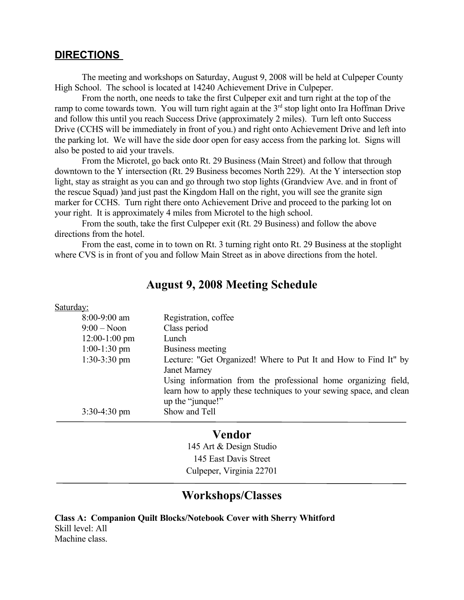### **DIRECTIONS**

The meeting and workshops on Saturday, August 9, 2008 will be held at Culpeper County High School. The school is located at 14240 Achievement Drive in Culpeper.

From the north, one needs to take the first Culpeper exit and turn right at the top of the ramp to come towards town. You will turn right again at the  $3<sup>rd</sup>$  stop light onto Ira Hoffman Drive and follow this until you reach Success Drive (approximately 2 miles). Turn left onto Success Drive (CCHS will be immediately in front of you.) and right onto Achievement Drive and left into the parking lot. We will have the side door open for easy access from the parking lot. Signs will also be posted to aid your travels.

From the Microtel, go back onto Rt. 29 Business (Main Street) and follow that through downtown to the Y intersection (Rt. 29 Business becomes North 229). At the Y intersection stop light, stay as straight as you can and go through two stop lights (Grandview Ave. and in front of the rescue Squad) )and just past the Kingdom Hall on the right, you will see the granite sign marker for CCHS. Turn right there onto Achievement Drive and proceed to the parking lot on your right. It is approximately 4 miles from Microtel to the high school.

From the south, take the first Culpeper exit (Rt. 29 Business) and follow the above directions from the hotel.

From the east, come in to town on Rt. 3 turning right onto Rt. 29 Business at the stoplight where CVS is in front of you and follow Main Street as in above directions from the hotel.

# **August 9, 2008 Meeting Schedule**

#### Saturday:

| 8:00-9:00 am    | Registration, coffee                                                |
|-----------------|---------------------------------------------------------------------|
| $9:00 - N$ oon  | Class period                                                        |
| $12:00-1:00$ pm | Lunch                                                               |
| $1:00-1:30$ pm  | Business meeting                                                    |
| $1:30-3:30$ pm  | Lecture: "Get Organized! Where to Put It and How to Find It" by     |
|                 | <b>Janet Marney</b>                                                 |
|                 | Using information from the professional home organizing field,      |
|                 | learn how to apply these techniques to your sewing space, and clean |
|                 | up the "junque!"                                                    |
| $3:30-4:30$ pm  | Show and Tell                                                       |
|                 |                                                                     |

### **Vendor**

145 Art & Design Studio 145 East Davis Street Culpeper, Virginia 22701

# **Workshops/Classes**

**Class A: Companion Quilt Blocks/Notebook Cover with Sherry Whitford** Skill level: All Machine class.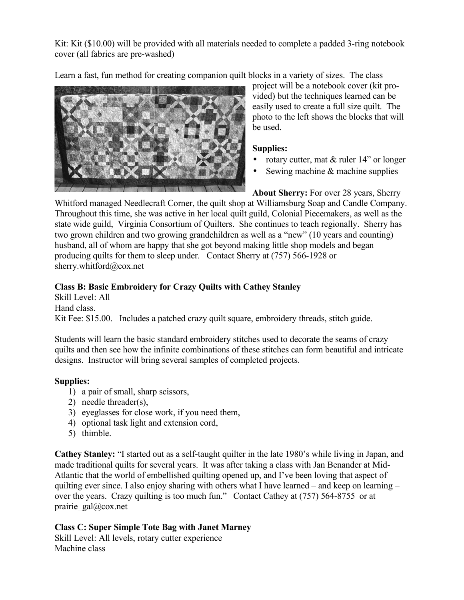Kit: Kit (\$10.00) will be provided with all materials needed to complete a padded 3-ring notebook cover (all fabrics are pre-washed)

Learn a fast, fun method for creating companion quilt blocks in a variety of sizes. The class



project will be a notebook cover (kit provided) but the techniques learned can be easily used to create a full size quilt. The photo to the left shows the blocks that will be used.

# **Supplies:**

- rotary cutter, mat & ruler 14" or longer
- Sewing machine & machine supplies

**About Sherry:** For over 28 years, Sherry Whitford managed Needlecraft Corner, the quilt shop at Williamsburg Soap and Candle Company. Throughout this time, she was active in her local quilt guild, Colonial Piecemakers, as well as the state wide guild, Virginia Consortium of Quilters. She continues to teach regionally. Sherry has two grown children and two growing grandchildren as well as a "new" (10 years and counting) husband, all of whom are happy that she got beyond making little shop models and began producing quilts for them to sleep under. Contact Sherry at (757) 566-1928 or sherry.whitford@cox.net

# **Class B: Basic Embroidery for Crazy Quilts with Cathey Stanley**

Skill Level: All Hand class. Kit Fee: \$15.00. Includes a patched crazy quilt square, embroidery threads, stitch guide.

Students will learn the basic standard embroidery stitches used to decorate the seams of crazy quilts and then see how the infinite combinations of these stitches can form beautiful and intricate designs. Instructor will bring several samples of completed projects.

# **Supplies:**

- 1) a pair of small, sharp scissors,
- 2) needle threader(s),
- 3) eyeglasses for close work, if you need them,
- 4) optional task light and extension cord,
- 5) thimble.

**Cathey Stanley:** "I started out as a self-taught quilter in the late 1980's while living in Japan, and made traditional quilts for several years. It was after taking a class with Jan Benander at Mid-Atlantic that the world of embellished quilting opened up, and I've been loving that aspect of quilting ever since. I also enjoy sharing with others what I have learned – and keep on learning – over the years. Crazy quilting is too much fun." Contact Cathey at (757) 564-8755 or at prairie  $gal@cox.net$ 

# **Class C: Super Simple Tote Bag with Janet Marney**

Skill Level: All levels, rotary cutter experience Machine class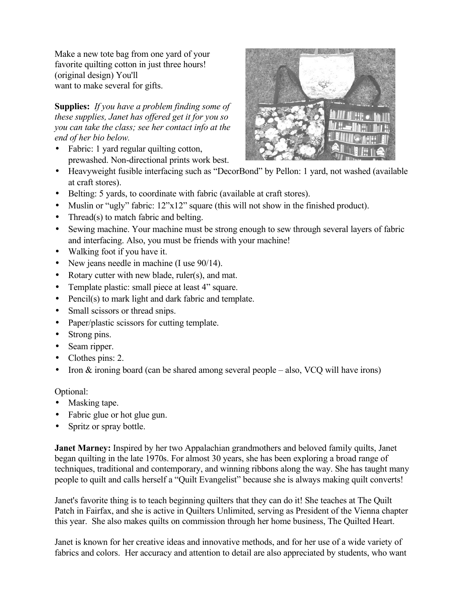Make a new tote bag from one yard of your favorite quilting cotton in just three hours! (original design) You'll want to make several for gifts.

**Supplies:** *If you have a problem finding some of these supplies, Janet has offered get it for you so you can take the class; see her contact info at the end of her bio below.*

• Fabric: 1 yard regular quilting cotton, prewashed. Non-directional prints work best.



- Heavyweight fusible interfacing such as "DecorBond" by Pellon: 1 yard, not washed (available at craft stores).
- Belting: 5 yards, to coordinate with fabric (available at craft stores).
- Muslin or "ugly" fabric:  $12"x12"$  square (this will not show in the finished product).
- Thread(s) to match fabric and belting.
- Sewing machine. Your machine must be strong enough to sew through several layers of fabric and interfacing. Also, you must be friends with your machine!
- Walking foot if you have it.
- New jeans needle in machine (I use 90/14).
- Rotary cutter with new blade, ruler(s), and mat.
- Template plastic: small piece at least 4" square.
- Pencil(s) to mark light and dark fabric and template.
- Small scissors or thread snips.
- Paper/plastic scissors for cutting template.
- Strong pins.
- Seam ripper.
- Clothes pins: 2.
- Iron  $&$  ironing board (can be shared among several people also, VCQ will have irons)

Optional:

- Masking tape.
- Fabric glue or hot glue gun.
- Spritz or spray bottle.

**Janet Marney:** Inspired by her two Appalachian grandmothers and beloved family quilts, Janet began quilting in the late 1970s. For almost 30 years, she has been exploring a broad range of techniques, traditional and contemporary, and winning ribbons along the way. She has taught many people to quilt and calls herself a "Quilt Evangelist" because she is always making quilt converts!

Janet's favorite thing is to teach beginning quilters that they can do it! She teaches at The Quilt Patch in Fairfax, and she is active in Quilters Unlimited, serving as President of the Vienna chapter this year. She also makes quilts on commission through her home business, The Quilted Heart.

Janet is known for her creative ideas and innovative methods, and for her use of a wide variety of fabrics and colors. Her accuracy and attention to detail are also appreciated by students, who want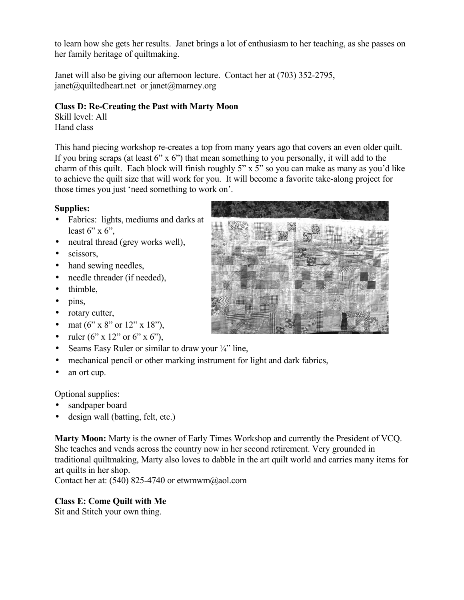to learn how she gets her results. Janet brings a lot of enthusiasm to her teaching, as she passes on her family heritage of quiltmaking.

Janet will also be giving our afternoon lecture. Contact her at (703) 352-2795,  $j$ anet $(a)$ quiltedheart.net or janet $(a)$ marney.org

# **Class D: Re-Creating the Past with Marty Moon**

Skill level: All Hand class

This hand piecing workshop re-creates a top from many years ago that covers an even older quilt. If you bring scraps (at least  $6" \times 6"$ ) that mean something to you personally, it will add to the charm of this quilt. Each block will finish roughly 5" x 5" so you can make as many as you'd like to achieve the quilt size that will work for you. It will become a favorite take-along project for those times you just 'need something to work on'.

# **Supplies:**

- Fabrics: lights, mediums and darks at least  $6$ " x  $6$ ".
- neutral thread (grey works well),
- scissors,
- hand sewing needles,
- needle threader (if needed),
- thimble,
- pins,
- rotary cutter,
- mat  $(6'' \times 8''$  or  $12'' \times 18''$ ),
- ruler  $(6'' \times 12'' \text{ or } 6'' \times 6'')$ ,
- Seams Easy Ruler or similar to draw your  $\frac{1}{4}$ " line,
- mechanical pencil or other marking instrument for light and dark fabrics,
- an ort cup.

Optional supplies:

- sandpaper board
- design wall (batting, felt, etc.)

**Marty Moon:** Marty is the owner of Early Times Workshop and currently the President of VCQ. She teaches and vends across the country now in her second retirement. Very grounded in traditional quiltmaking, Marty also loves to dabble in the art quilt world and carries many items for art quilts in her shop.

Contact her at:  $(540)$  825-4740 or etwmwm@aol.com

# **Class E: Come Quilt with Me**

Sit and Stitch your own thing.

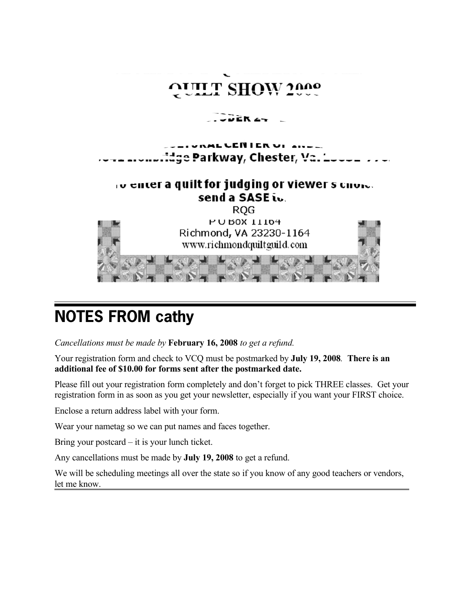

# **NOTES FROM cathy**

*Cancellations must be made by* **February 16, 2008** *to get a refund.*

Your registration form and check to VCQ must be postmarked by **July 19, 2008***.* **There is an additional fee of \$10.00 for forms sent after the postmarked date.**

Please fill out your registration form completely and don't forget to pick THREE classes. Get your registration form in as soon as you get your newsletter, especially if you want your FIRST choice.

Enclose a return address label with your form.

Wear your nametag so we can put names and faces together.

Bring your postcard – it is your lunch ticket.

Any cancellations must be made by **July 19, 2008** to get a refund.

We will be scheduling meetings all over the state so if you know of any good teachers or vendors, let me know.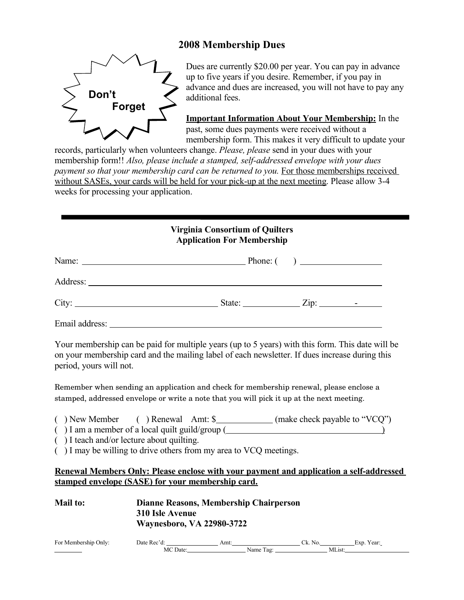# **2008 Membership Dues**



Dues are currently \$20.00 per year. You can pay in advance up to five years if you desire. Remember, if you pay in advance and dues are increased, you will not have to pay any additional fees.

**Important Information About Your Membership:** In the past, some dues payments were received without a membership form. This makes it very difficult to update your

records, particularly when volunteers change. *Please, please* send in your dues with your membership form!! *Also, please include a stamped, self-addressed envelope with your dues payment so that your membership card can be returned to you.* For those memberships received without SASEs, your cards will be held for your pick-up at the next meeting. Please allow 3-4 weeks for processing your application.

### **Virginia Consortium of Quilters Application For Membership**

| Name:          |  |  |
|----------------|--|--|
|                |  |  |
|                |  |  |
| Email address: |  |  |

Your membership can be paid for multiple years (up to 5 years) with this form. This date will be on your membership card and the mailing label of each newsletter. If dues increase during this period, yours will not.

Remember when sending an application and check for membership renewal, please enclose a stamped, addressed envelope or write a note that you will pick it up at the next meeting.

- () New Member () Renewal Amt: \$\_\_\_\_\_\_\_\_\_\_\_(make check payable to "VCQ")
- $( )$  I am a member of a local quilt guild/group  $($
- ( ) I teach and/or lecture about quilting.

( ) I may be willing to drive others from my area to VCQ meetings.

### **Renewal Members Only: Please enclose with your payment and application a self-addressed stamped envelope (SASE) for your membership card.**

| <b>Mail to:</b>      | Dianne Reasons, Membership Chairperson<br>310 Isle Avenue<br><b>Waynesboro, VA 22980-3722</b> |      |           |            |
|----------------------|-----------------------------------------------------------------------------------------------|------|-----------|------------|
| For Membership Only: | Date Rec'd:                                                                                   | Amt: | Ck. No.   | Exp. Year: |
|                      | MC Date:                                                                                      |      | Name Tag: | MList:     |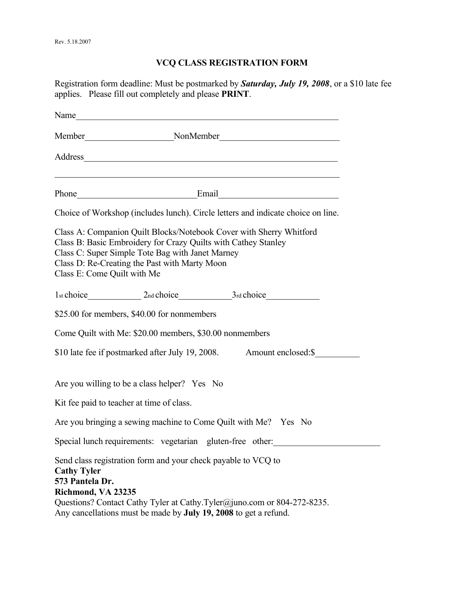# **VCQ CLASS REGISTRATION FORM**

Registration form deadline: Must be postmarked by *Saturday, July 19, 2008*, or a \$10 late fee applies. Please fill out completely and please **PRINT**.

|                                                             |                                                                                                                                                                                                                                            | Choice of Workshop (includes lunch). Circle letters and indicate choice on line. |  |
|-------------------------------------------------------------|--------------------------------------------------------------------------------------------------------------------------------------------------------------------------------------------------------------------------------------------|----------------------------------------------------------------------------------|--|
| Class E: Come Quilt with Me                                 | Class A: Companion Quilt Blocks/Notebook Cover with Sherry Whitford<br>Class B: Basic Embroidery for Crazy Quilts with Cathey Stanley<br>Class C: Super Simple Tote Bag with Janet Marney<br>Class D: Re-Creating the Past with Marty Moon |                                                                                  |  |
|                                                             | 1st choice 2nd choice 3rd choice 3rd choice                                                                                                                                                                                                |                                                                                  |  |
|                                                             | \$25.00 for members, \$40.00 for nonmembers                                                                                                                                                                                                |                                                                                  |  |
|                                                             | Come Quilt with Me: \$20.00 members, \$30.00 nonmembers                                                                                                                                                                                    |                                                                                  |  |
|                                                             |                                                                                                                                                                                                                                            | \$10 late fee if postmarked after July 19, 2008. Amount enclosed:\$              |  |
|                                                             | Are you willing to be a class helper? Yes No                                                                                                                                                                                               |                                                                                  |  |
|                                                             | Kit fee paid to teacher at time of class.                                                                                                                                                                                                  |                                                                                  |  |
|                                                             | Are you bringing a sewing machine to Come Quilt with Me? Yes No                                                                                                                                                                            |                                                                                  |  |
|                                                             | Special lunch requirements: vegetarian gluten-free other:                                                                                                                                                                                  |                                                                                  |  |
| <b>Cathy Tyler</b><br>573 Pantela Dr.<br>Richmond, VA 23235 | Send class registration form and your check payable to VCQ to<br>Any cancellations must be made by July 19, 2008 to get a refund.                                                                                                          | Questions? Contact Cathy Tyler at Cathy.Tyler@juno.com or 804-272-8235.          |  |